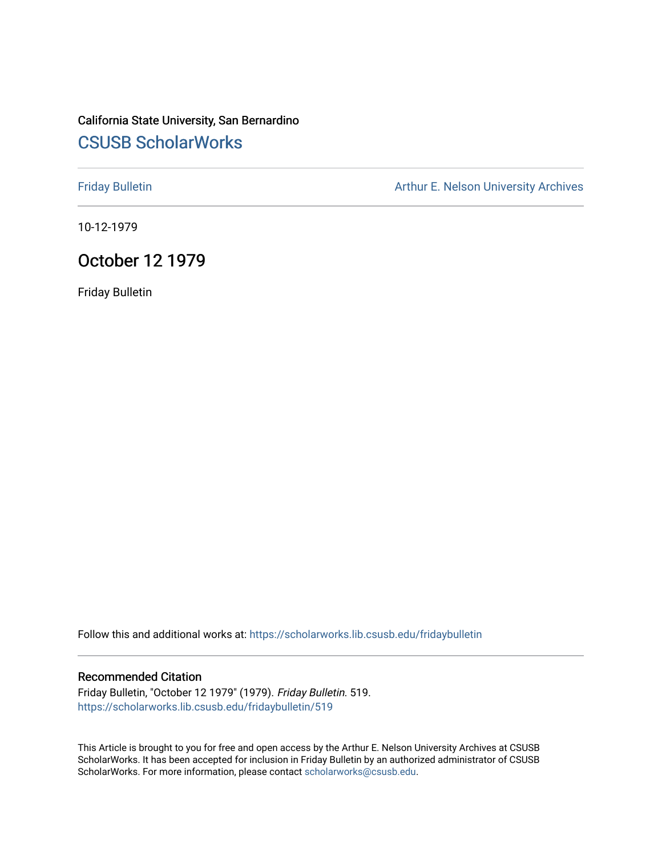# California State University, San Bernardino [CSUSB ScholarWorks](https://scholarworks.lib.csusb.edu/)

[Friday Bulletin](https://scholarworks.lib.csusb.edu/fridaybulletin) **Arthur E. Nelson University Archives** Arthur E. Nelson University Archives

10-12-1979

# October 12 1979

Friday Bulletin

Follow this and additional works at: [https://scholarworks.lib.csusb.edu/fridaybulletin](https://scholarworks.lib.csusb.edu/fridaybulletin?utm_source=scholarworks.lib.csusb.edu%2Ffridaybulletin%2F519&utm_medium=PDF&utm_campaign=PDFCoverPages)

## Recommended Citation

Friday Bulletin, "October 12 1979" (1979). Friday Bulletin. 519. [https://scholarworks.lib.csusb.edu/fridaybulletin/519](https://scholarworks.lib.csusb.edu/fridaybulletin/519?utm_source=scholarworks.lib.csusb.edu%2Ffridaybulletin%2F519&utm_medium=PDF&utm_campaign=PDFCoverPages)

This Article is brought to you for free and open access by the Arthur E. Nelson University Archives at CSUSB ScholarWorks. It has been accepted for inclusion in Friday Bulletin by an authorized administrator of CSUSB ScholarWorks. For more information, please contact [scholarworks@csusb.edu.](mailto:scholarworks@csusb.edu)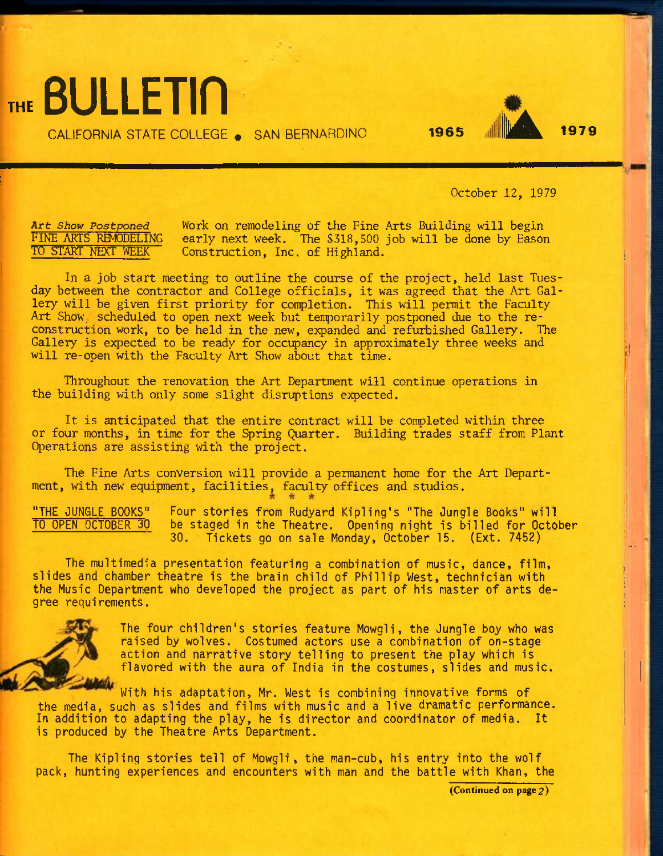**THE** BULLETin CALIFORNIA STATE COLLEGE . SAN BERNARDINO **1965 AND 1979** 



<sup>I</sup>'i U.

October *12,* 1979

*Art Show Postponed*  FINE ARTS REMODELING TO START NEXT WEEK

Work on remodeling of the Fine Arts Building will begin early next week. The \$318,500 job will be done by Eason Construction, Inc. of Highland.

In a job start meeting to outline the course of the project, held last Tuesday between the contractor and College officials, it was agreed that the Art Gallery will be given first priority for completion. This will permit the Faculty Art Show, scheduled to open next week but tenporarily postponed due to the reconstruction work, to be held in the new, expanded and refurbished Gallery. The Gallery is expected to be ready for occipancy in approximately three weeks and will re-open with the Faculty Art Show about that time.

Throughout the renovation the Art Department will continue operations in the building with only some slight disruptions expected.

It is anticipated that the entire contract will be completed within three or four months, in time for the Spring Quarter. Building trades staff from Plant Operations are assisting with the project.

The Fine Arts conversion will provide a permanent home for the Art Department, with new equipment, facilities, faculty offices and studios.

"THE JUNGLE BOOKS" TO OPEN OCTOBER 30 Four stories from Rudyard Kipling's "The Jungle Books" will be staged in the Theatre. Opening night is billed for October 30. Tickets go on sale Monday, October 15. (Ext. 7452)

The multimedia presentation featuring a combination of music, dance, film, slides and chamber theatre is the brain child of Phillip West, technician with the Music Department who developed the project as part of his master of arts degree requirements.



The four children's stories feature Mowgli, the Jungle boy who was raised by wolves. Costumed actors use a combination of on-stage action and narrative story telling to present the play which is flavored with the aura of India in the costumes, slides and music.

With his adaptation, Mr. West is combining innovative forms of the media, such as slides and films with music and a live dramatic performance. In addition to adapting the play, he is director and coordinator of media. It is produced by the Theatre Arts Department.

The Kipling stories tell of Mowgli, the man-cub, his entry into the wolf pack, hunting experiences and encounters with man and the battle with Khan, the

(Continued on page 2)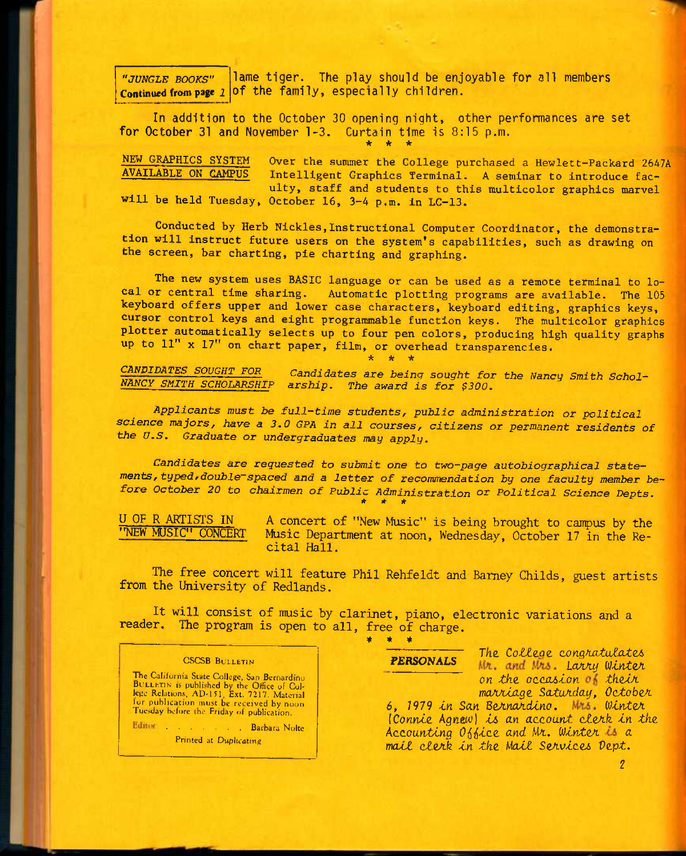lame tiger. The play should be enjoyable for all members Continued from page *l* of the family, especially children. *"JUNGLE BOOKS"* 

In addition to the October 30 opening night, other performances are set for October 31 and November 1-3. Curtain time is 8:15 p.m.

**NEW GRAPHICS SYSTEM Over the summer the College purchased a Hewlett-Packard 2647A**  Intelligent Graphics Terminal. A seminar to introduce fac**ulty, staff and students to this multicolor graphics marvel will be held Tuesday, October 16, 3-4 p.m. in LC-13.** 

**\* \* \*** 

**Conducted by Herb Nickles,Instructional Computer Coordinator, the demonstration will instruct future users on the system\*s capabilities, such as drawing on the screen, bar charting, pie charting and graphing.** 

**The new system uses BASIC language or can be used as a remote terminal to local or central time sharing. Automatic plotting programs are available. The 105 keyboard offers upper and lower case characters, keyboard editing, graphics keys, cursor control keys and eight programmable function keys. The multicolor graphics plotter automatically selects up to four pen colors, producing high quality graphs up to 11" X 17" on chart paper, film, or overhead transparencies.** 

**\* \* \*** 

*CANDIDATES SOUGHT FOR Candidates are beinq sought for the Nancy Smith Schol-NANCY SMITH SCHOLARSHIP arship. The award is for \$300.* 

*Applicants must be full-time students^ public administration or political science majors, have a 3.0 CPA in all courses, citizens or permanent residents of the U.S. Graduate or undergraduates may apply.* 

*Candidates are requested to submit one to two-page autobiographical statements, typed fdouble~ spaced and a letter of recommendation by one faculty member before October 20 to chairmen of Public Administration or Political Science Depts. \* \* \** 

U OF R ARTISTS IN A concert of "New Music" is being brought to canpus by the Music Department at noon, Wednesday, October 17 in the Recital Hall.

The free concert will feature Phil Rehfeldt and Barney Childs, guest artists from the University of Redlands.

It will consist of music by clarinet, piano, electronic variations and a reader. The program is open to all, free of charge.

### **CSCSB BULLETIN**

The California State College, San Bernardino BULLETIN is published by the Office of Col-<br>lege Relations, AD-151, Ext. 7217. Material for publication must be received by noon<br>Tuesday before the Friday of publication,

Editar . . . . . . . . . Barbara Nolte Printed at Duplicating

*\* \* \** 

**PERSONALS** The College congratulates Mr. and Mrs. Larry Winter on the occasion of their *mcUvUnQZ Scutu/iday, OctoboA* 

6, 1979 in San Bernardino. Mrs. Winter *(Connie Agnew) is an account clerk in the Accounting O^i^tce and* M-t, *lUZnteA a matt ctoAk tn the Matt SeAvtce6 Dept.*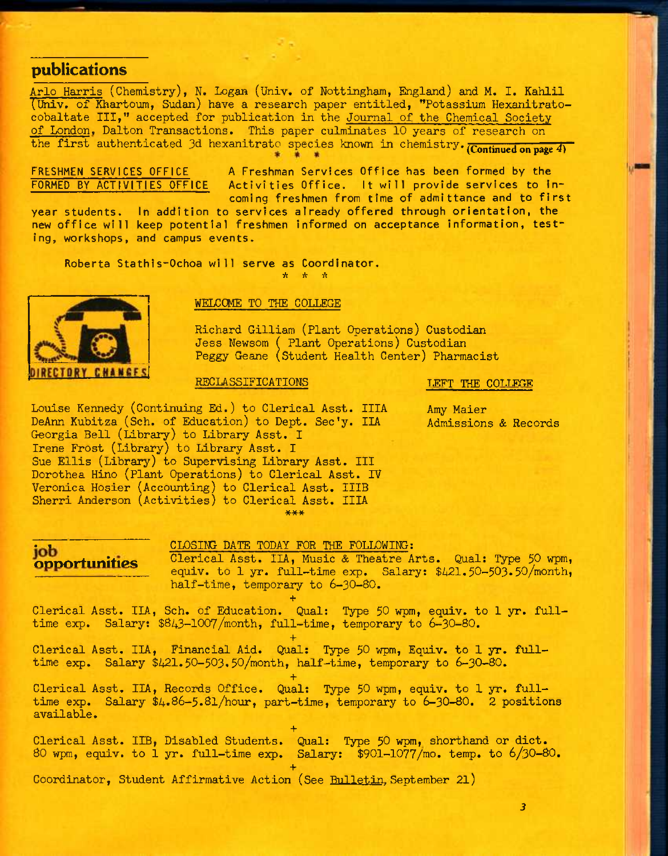## **publications**

Arlo Harris (Chemistry), N. Logan (Univ. of Nottingham, England) and M. I. Kahlil (Univ. of Khartoum, Sudan) have a research paper entitled, "Potassium Hexanitratocobaltate III," accepted for publication in the Journal of the Chemical Society of London, Dalton Transactions. This paper culminates 10 years of research on the first authenticated 3d hexanitrato species knovm in chemistry, (continued on page *4)* 

FRESHMEN SERVICES OFFICE A Freshman Services Office has been formed by the FORMED BY ACTIVITIES OFFICE Activities Office. It will provide services to in Activities Office. It will provide services to incoming freshmen from time of admittance and to first

year students. In addition to services already offered through orientation, the new office will keep potential freshmen informed on acceptance information, testing, workshops, and campus events.

Roberta Stathls-Ochoa will serve as Coordinator. *•k •fi •}(* 



## WELCOME TO THE COLLEGE

Richard Gilliam (Plant Operations) Custodian Jess Newsom ( Plant Operations) Custodian Peggy Geane (Student Health Center) Pharmacist

## RECLASSIFICATIONS

**T.EFT THE COLLEGE** 

Louise Kennedy (Continuing Ed.) to Clerical Asst. IIIA DeAnn Kubitza (Sch. of Education) to Dept. Sec'y. IIA Georgia Bell (Library) to Library Asst. I Irene Frost (Library) to Library Asst. I Sue Ellis (Library) to Supervising Library Asst. Ill Dorothea Hino (Plant Operations) to Clerical Asst. IV Veronica Hosier (Accounting) to Clerical Asst. IIIB Sherri Anderson (Activities) to Clerical Asst. IIIA \*\*\*

Amy Maier Admissions & Records

# TODAY FOR THE FOLLOWING:

**opportunities** Clerical Asst. IIA, Music & Theatre Arts. Qual: Type 50 wpm, equiv. to 1 yr. full-time exp. Salary: \$421.50-503.50/month, half-time, temporary to 6-3O-8O.

Clerical Asst. IIA, Sch. of Education. Qual: Type 50 wpm, equiv. to 1 yr. fulltime exp. Salary: \$843-1007/month, full-time, temporary to 6-30-80.

**+** 

**+**  Clerical Asst. IIA, Financial Aid. Qual: Type 50 wpm, Equiv. to 1 yr. fulltime exp. Salary \$421.5O-503,50/month, half-time, temporary to 6-30-80.

Clerical Asst. IIA, Records Office. Qual: Type 50 wpm, equiv. to 1 yr. fulltime  $\exp$ . Salary  $\frac{4.86-5.81}{\text{hour}}$ , part-time, temporary to 6-30-80. 2 positions available.

**+** 

**+**  Clerical Asst. IIB, Disabled Students. Qual: Type 50 wpm, shorthand or diet. 80 wpm, equiv. to 1 yr. full-time  $\exp$ . Salary:  $\frac{1000 - 1077}{\text{mo}}$ . temp. to  $\frac{6}{30}$ -80.

**+**  Coordinator, Student Affirmative Action (See Bulletin, September 21)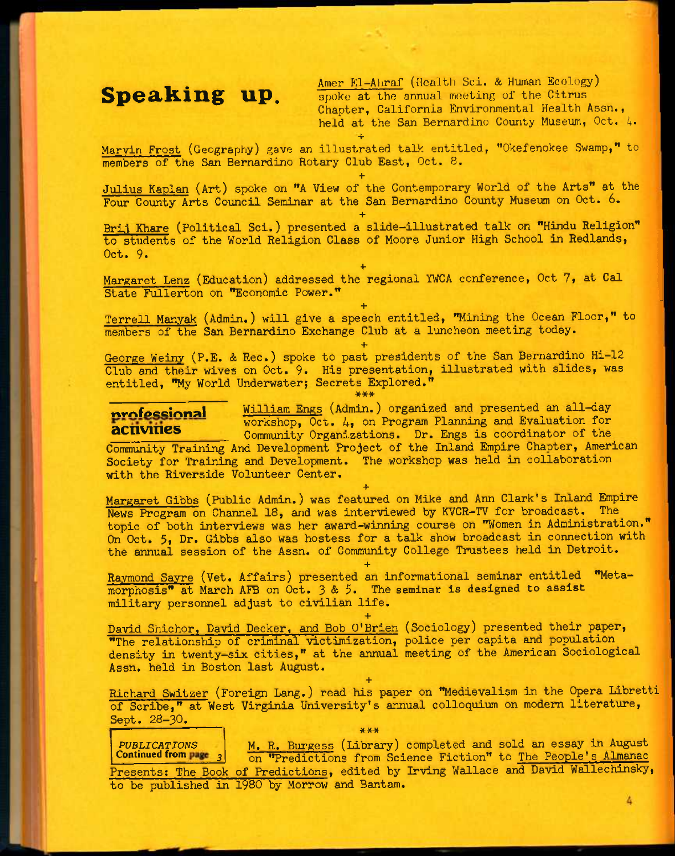Speaking up. **Amer El-Ahraf** (Health Sci. & Human Ecology) spoke at the annual meeting of the Citrus Chapter, California Environmental Health Assn., held at the San Bernardino County Museum, Oct. 4. +

Marvin Frost (Geography) gave an illustrated talk entitled, "Okefenokee Swamp," to members of the San Bernardino Rotary Club East, Oct. 8.

**+** 

**+** 

Julius Kaplan (Art) spoke on "A View of the Contemporary World of the Arts" at the Four County Arts Council Seminar at the San Bernardino County Museum on Oct. 6.

Brij Khare (Political Sci.) presented a slide-illustrated talk on "Hindu Religion" to students of the World Religion Class of Moore Junior High School in Redlands, Oct. 9-

**+**  Margaret Lenz (Education) addressed the regional YWCA conference, Oct 7, at Cal State Fullerton on "Economic Power." **+** 

Terrell Manyak (Admin.) will give a speech entitled, "Mining the Ocean Floor," to members of the San Bernardino Exchange Club at a luncheon meeting today.

**+**  George Weiny (P.E. & Rec.) spoke to past presidents of the San Bernardino Hi-12 Club and their wives on Oct. 9. His presentation, illustrated with slides, was entitled, "My World Underwater; Secrets Explored."

nrofessional William Engs (Admin.) organized and presented an all-day workshop, Oct. A, on Program Planning and Evaluation for activines community Organizations. Dr. Engs is coordinator of the

Community Training And Development Project of the Inland Empire Chapter, American Society for Training and Development. The workshop was held in collaboration with the Riverside Volunteer Center.

**+** 

Margaret Gibbs (Public Admin.) was featured on Mike and Ann Clark's Inland Empire News Program on Channel 18, and was interviewed by KVCR-TV for broadcast. The topic of both interviews was her award—winning course on "Women in Administration." On Oct. 5, Dr. Gibbs also was hostess for a talk show broadcast in connection with the annual session of the Assn. of Community College Trustees held in Detroit.

Raymond Sayre (Vet. Affairs) presented an informational seminar entitled "Metamorphosis" at March AFB on Oct. 3 & 5. The seminar is designed to assist military personnel adjust to civilian life.

**+** 

**+**  David Shichor, David Decker, and Bob O'Brien (Sociology) presented their paper, "The relationship of criminal victimization, police per capita and population^ density in twenty-six cities," at the annual meeting of the American Sociological Assn. held in Boston last August.

**+** 

Richard Switzer (Foreign Lang.) read his paper on "Medievalism in the Opera Libretti of Scribe," at West Virginia University's annual colloquium on modern literature, Sept. 28-30. **\*\*\*** 

*PUBLICATIONS*  Continued from  $\frac{p}{2}$ M. R. Burgess (Library) completed and sold an essay in August on "Predictions from Science Fiction" to The People's Almanac Presents: The Book of Predictions, edited by Irving Wallace and David Wallechinsky, to be published in 1980 by Morrow and Bantam.